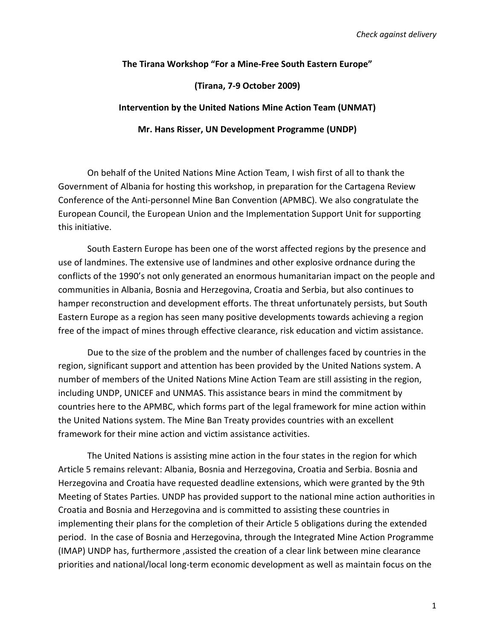## **The Tirana Workshop "For a Mine-Free South Eastern Europe"**

## **(Tirana, 7-9 October 2009)**

## **Intervention by the United Nations Mine Action Team (UNMAT)**

**Mr. Hans Risser, UN Development Programme (UNDP)**

On behalf of the United Nations Mine Action Team, I wish first of all to thank the Government of Albania for hosting this workshop, in preparation for the Cartagena Review Conference of the Anti-personnel Mine Ban Convention (APMBC). We also congratulate the European Council, the European Union and the Implementation Support Unit for supporting this initiative.

South Eastern Europe has been one of the worst affected regions by the presence and use of landmines. The extensive use of landmines and other explosive ordnance during the conflicts of the 1990's not only generated an enormous humanitarian impact on the people and communities in Albania, Bosnia and Herzegovina, Croatia and Serbia, but also continues to hamper reconstruction and development efforts. The threat unfortunately persists, but South Eastern Europe as a region has seen many positive developments towards achieving a region free of the impact of mines through effective clearance, risk education and victim assistance.

Due to the size of the problem and the number of challenges faced by countries in the region, significant support and attention has been provided by the United Nations system. A number of members of the United Nations Mine Action Team are still assisting in the region, including UNDP, UNICEF and UNMAS. This assistance bears in mind the commitment by countries here to the APMBC, which forms part of the legal framework for mine action within the United Nations system. The Mine Ban Treaty provides countries with an excellent framework for their mine action and victim assistance activities.

The United Nations is assisting mine action in the four states in the region for which Article 5 remains relevant: Albania, Bosnia and Herzegovina, Croatia and Serbia. Bosnia and Herzegovina and Croatia have requested deadline extensions, which were granted by the 9th Meeting of States Parties. UNDP has provided support to the national mine action authorities in Croatia and Bosnia and Herzegovina and is committed to assisting these countries in implementing their plans for the completion of their Article 5 obligations during the extended period. In the case of Bosnia and Herzegovina, through the Integrated Mine Action Programme (IMAP) UNDP has, furthermore ,assisted the creation of a clear link between mine clearance priorities and national/local long-term economic development as well as maintain focus on the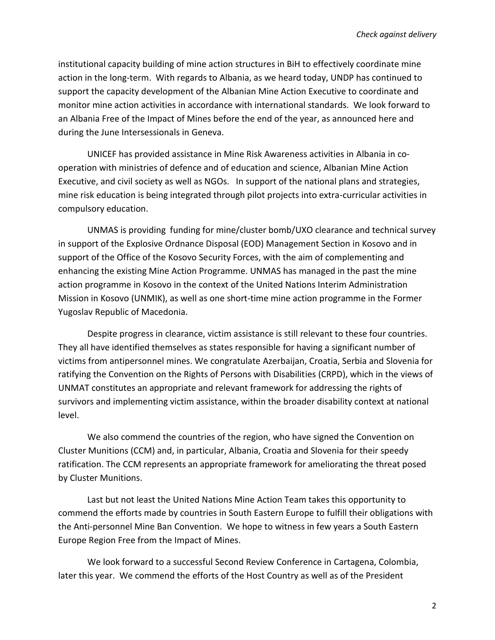institutional capacity building of mine action structures in BiH to effectively coordinate mine action in the long-term. With regards to Albania, as we heard today, UNDP has continued to support the capacity development of the Albanian Mine Action Executive to coordinate and monitor mine action activities in accordance with international standards. We look forward to an Albania Free of the Impact of Mines before the end of the year, as announced here and during the June Intersessionals in Geneva.

UNICEF has provided assistance in Mine Risk Awareness activities in Albania in cooperation with ministries of defence and of education and science, Albanian Mine Action Executive, and civil society as well as NGOs. In support of the national plans and strategies, mine risk education is being integrated through pilot projects into extra-curricular activities in compulsory education.

UNMAS is providing funding for mine/cluster bomb/UXO clearance and technical survey in support of the Explosive Ordnance Disposal (EOD) Management Section in Kosovo and in support of the Office of the Kosovo Security Forces, with the aim of complementing and enhancing the existing Mine Action Programme. UNMAS has managed in the past the mine action programme in Kosovo in the context of the United Nations Interim Administration Mission in Kosovo (UNMIK), as well as one short-time mine action programme in the Former Yugoslav Republic of Macedonia.

Despite progress in clearance, victim assistance is still relevant to these four countries. They all have identified themselves as states responsible for having a significant number of victims from antipersonnel mines. We congratulate Azerbaijan, Croatia, Serbia and Slovenia for ratifying the Convention on the Rights of Persons with Disabilities (CRPD), which in the views of UNMAT constitutes an appropriate and relevant framework for addressing the rights of survivors and implementing victim assistance, within the broader disability context at national level.

We also commend the countries of the region, who have signed the Convention on Cluster Munitions (CCM) and, in particular, Albania, Croatia and Slovenia for their speedy ratification. The CCM represents an appropriate framework for ameliorating the threat posed by Cluster Munitions.

Last but not least the United Nations Mine Action Team takes this opportunity to commend the efforts made by countries in South Eastern Europe to fulfill their obligations with the Anti-personnel Mine Ban Convention. We hope to witness in few years a South Eastern Europe Region Free from the Impact of Mines.

We look forward to a successful Second Review Conference in Cartagena, Colombia, later this year. We commend the efforts of the Host Country as well as of the President